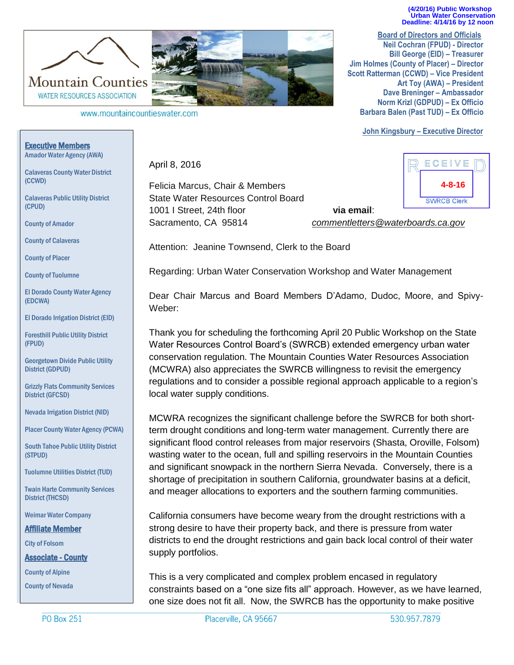**(4/20/16) Public Workshop Urban Water Conservation Deadline: 4/14/16 by 12 noon** 

**Board of Directors and Officials Neil Cochran (FPUD) - Director Bill George (EID) – Treasurer Jim Holmes (County of Placer) – Director Scott Ratterman (CCWD) – Vice President Art Toy (AWA) – President Dave Breninger – Ambassador Norm Krizl (GDPUD) – Ex Officio Barbara Balen (Past TUD) – Ex Officio**

**John Kingsbury – Executive Director**



1001 I Street, 24th floor **via email**:

Sacramento, CA 95814 *commentletters@waterboards.ca.gov*

Attention: Jeanine Townsend, Clerk to the Board

Felicia Marcus, Chair & Members State Water Resources Control Board

April 8, 2016

Regarding: Urban Water Conservation Workshop and Water Management

Dear Chair Marcus and Board Members D'Adamo, Dudoc, Moore, and Spivy-Weber:

Thank you for scheduling the forthcoming April 20 Public Workshop on the State Water Resources Control Board's (SWRCB) extended emergency urban water conservation regulation. The Mountain Counties Water Resources Association (MCWRA) also appreciates the SWRCB willingness to revisit the emergency regulations and to consider a possible regional approach applicable to a region's local water supply conditions.

MCWRA recognizes the significant challenge before the SWRCB for both shortterm drought conditions and long-term water management. Currently there are significant flood control releases from major reservoirs (Shasta, Oroville, Folsom) wasting water to the ocean, full and spilling reservoirs in the Mountain Counties and significant snowpack in the northern Sierra Nevada. Conversely, there is a shortage of precipitation in southern California, groundwater basins at a deficit, and meager allocations to exporters and the southern farming communities.

California consumers have become weary from the drought restrictions with a strong desire to have their property back, and there is pressure from water districts to end the drought restrictions and gain back local control of their water supply portfolios.

This is a very complicated and complex problem encased in regulatory constraints based on a "one size fits all" approach. However, as we have learned, one size does not fit all. Now, the SWRCB has the opportunity to make positive

Placerville, CA 95667



Executive Members Amador Water Agency (AWA)

Calaveras County Water District (CCWD)

Calaveras Public Utility District (CPUD)

County of Amador

County of Calaveras

County of Placer

County of Tuolumne

El Dorado County Water Agency (EDCWA)

El Dorado Irrigation District (EID)

Foresthill Public Utility District (FPUD)

Georgetown Divide Public Utility District (GDPUD)

Grizzly Flats Community Services District (GFCSD)

Nevada Irrigation District (NID)

Placer County Water Agency (PCWA)

South Tahoe Public Utility District (STPUD)

Tuolumne Utilities District (TUD)

Twain Harte Community Services District (THCSD)

Weimar Water Company

Affiliate Member

City of Folsom

Associate - County

County of Alpine

County of Nevada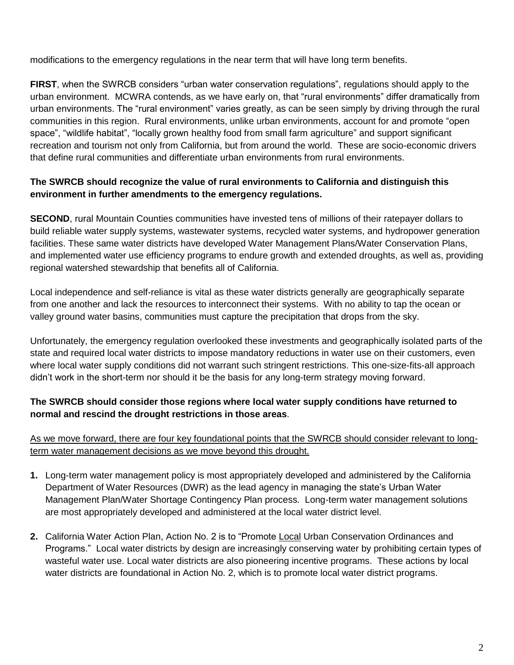modifications to the emergency regulations in the near term that will have long term benefits.

**FIRST**, when the SWRCB considers "urban water conservation regulations", regulations should apply to the urban environment. MCWRA contends, as we have early on, that "rural environments" differ dramatically from urban environments. The "rural environment" varies greatly, as can be seen simply by driving through the rural communities in this region. Rural environments, unlike urban environments, account for and promote "open space", "wildlife habitat", "locally grown healthy food from small farm agriculture" and support significant recreation and tourism not only from California, but from around the world. These are socio-economic drivers that define rural communities and differentiate urban environments from rural environments.

## **The SWRCB should recognize the value of rural environments to California and distinguish this environment in further amendments to the emergency regulations.**

**SECOND**, rural Mountain Counties communities have invested tens of millions of their ratepayer dollars to build reliable water supply systems, wastewater systems, recycled water systems, and hydropower generation facilities. These same water districts have developed Water Management Plans/Water Conservation Plans, and implemented water use efficiency programs to endure growth and extended droughts, as well as, providing regional watershed stewardship that benefits all of California.

Local independence and self-reliance is vital as these water districts generally are geographically separate from one another and lack the resources to interconnect their systems. With no ability to tap the ocean or valley ground water basins, communities must capture the precipitation that drops from the sky.

Unfortunately, the emergency regulation overlooked these investments and geographically isolated parts of the state and required local water districts to impose mandatory reductions in water use on their customers, even where local water supply conditions did not warrant such stringent restrictions. This one-size-fits-all approach didn't work in the short-term nor should it be the basis for any long-term strategy moving forward.

## **The SWRCB should consider those regions where local water supply conditions have returned to normal and rescind the drought restrictions in those areas**.

## As we move forward, there are four key foundational points that the SWRCB should consider relevant to longterm water management decisions as we move beyond this drought.

- **1.** Long-term water management policy is most appropriately developed and administered by the California Department of Water Resources (DWR) as the lead agency in managing the state's Urban Water Management Plan/Water Shortage Contingency Plan process. Long-term water management solutions are most appropriately developed and administered at the local water district level.
- **2.** California Water Action Plan, Action No. 2 is to "Promote Local Urban Conservation Ordinances and Programs." Local water districts by design are increasingly conserving water by prohibiting certain types of wasteful water use. Local water districts are also pioneering incentive programs. These actions by local water districts are foundational in Action No. 2, which is to promote local water district programs.